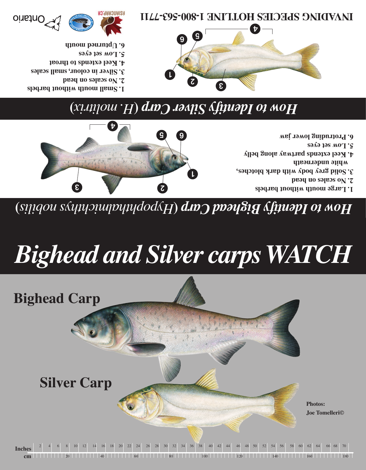**Inches cm** 20 40 60 80 100 120 140 160 1802 4 6 8 10 12 14 16 18 20 22 24 26 28 30 32 34 36 38 40 42 44 46 48 50 52 54 56 58 60 62 64 66 68 70



# *Bighead and Silver carps WATCH*

**)** *Hypophthalmichthys nobilis* **(** *How to Identify Bighead Carp* 



**arge mouth without barbels l 1. o scales on head n 2. 3. Solid grey body with dark blotches, white underneath 4. Keel extends partway along belly ow set eyes l 5.** 

**rotruding lower jaw p 6.** 

## **)** *H. molitrix* **(** *How to Identify Silver Carp*

**1. Small mouth without barbels**

**Bighead Carp**

- **o scales on head n 2.**
- **3. Silver in colour, small scales**
- **4. Keel extends to throat**
- **ow set eyes l 5.**
- **6. Upturned mouth**





**ne 1-800-500 FMB SPECIES HOLLTINE I F800-593-1111**